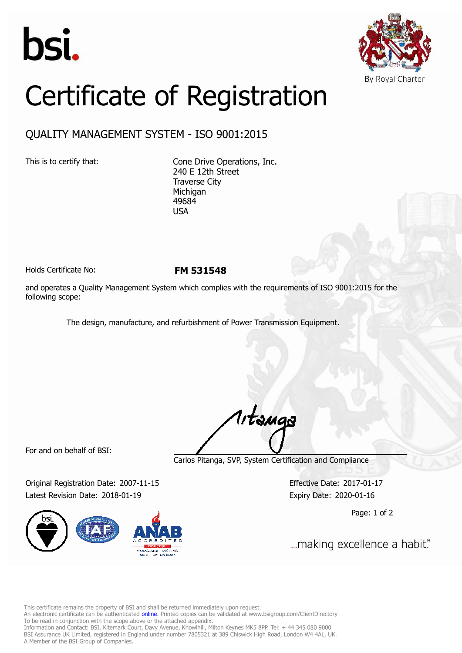



## Certificate of Registration

## QUALITY MANAGEMENT SYSTEM - ISO 9001:2015

This is to certify that: Cone Drive Operations, Inc. 240 E 12th Street Traverse City Michigan 49684 USA

Holds Certificate No: **FM 531548**

and operates a Quality Management System which complies with the requirements of ISO 9001:2015 for the following scope:

The design, manufacture, and refurbishment of Power Transmission Equipment.

For and on behalf of BSI:

Carlos Pitanga, SVP, System Certification and Compliance

1, tangs

Original Registration Date: 2007-11-15 Effective Date: 2017-01-17 Latest Revision Date: 2018-01-19 Expiry Date: 2020-01-16



Page: 1 of 2

... making excellence a habit."

This certificate remains the property of BSI and shall be returned immediately upon request.

An electronic certificate can be authenticated *[online](https://pgplus.bsigroup.com/CertificateValidation/CertificateValidator.aspx?CertificateNumber=FM+531548&ReIssueDate=19%2f01%2f2018&Template=inc)*. Printed copies can be validated at www.bsigroup.com/ClientDirectory To be read in conjunction with the scope above or the attached appendix.

Information and Contact: BSI, Kitemark Court, Davy Avenue, Knowlhill, Milton Keynes MK5 8PP. Tel: + 44 345 080 9000 BSI Assurance UK Limited, registered in England under number 7805321 at 389 Chiswick High Road, London W4 4AL, UK. A Member of the BSI Group of Companies.